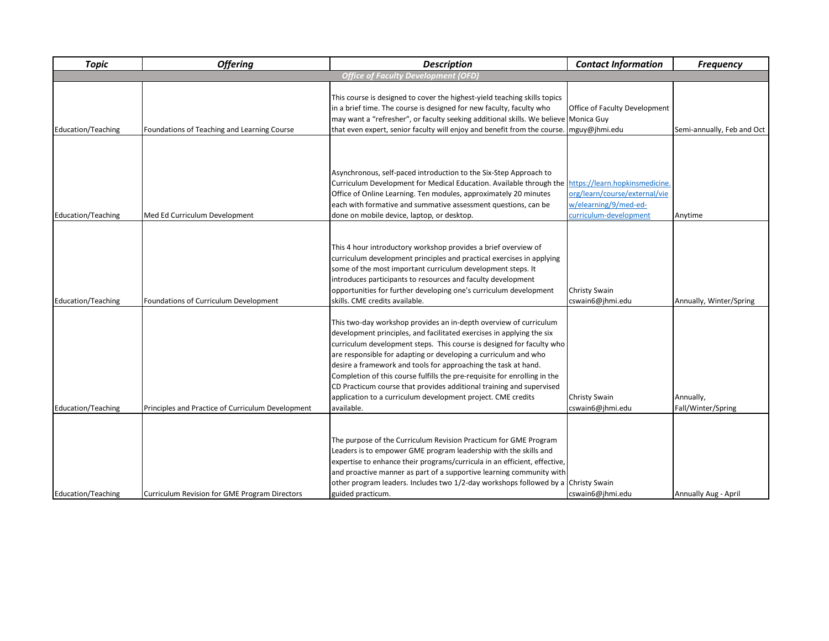| <b>Topic</b>                               | <b>Offering</b>                                   | <b>Description</b>                                                                                                                                                                                                                                                                                                                                                                                                                                                                                                                                                                          | <b>Contact Information</b>                                                                                         | <b>Frequency</b>                |  |  |  |
|--------------------------------------------|---------------------------------------------------|---------------------------------------------------------------------------------------------------------------------------------------------------------------------------------------------------------------------------------------------------------------------------------------------------------------------------------------------------------------------------------------------------------------------------------------------------------------------------------------------------------------------------------------------------------------------------------------------|--------------------------------------------------------------------------------------------------------------------|---------------------------------|--|--|--|
| <b>Office of Faculty Development (OFD)</b> |                                                   |                                                                                                                                                                                                                                                                                                                                                                                                                                                                                                                                                                                             |                                                                                                                    |                                 |  |  |  |
| <b>Education/Teaching</b>                  | Foundations of Teaching and Learning Course       | This course is designed to cover the highest-yield teaching skills topics<br>in a brief time. The course is designed for new faculty, faculty who<br>may want a "refresher", or faculty seeking additional skills. We believe Monica Guy<br>that even expert, senior faculty will enjoy and benefit from the course                                                                                                                                                                                                                                                                         | Office of Faculty Development<br>mguy@jhmi.edu                                                                     | Semi-annually, Feb and Oct      |  |  |  |
| <b>Education/Teaching</b>                  | Med Ed Curriculum Development                     | Asynchronous, self-paced introduction to the Six-Step Approach to<br>Curriculum Development for Medical Education. Available through the<br>Office of Online Learning. Ten modules, approximately 20 minutes<br>each with formative and summative assessment questions, can be<br>done on mobile device, laptop, or desktop.                                                                                                                                                                                                                                                                | https://learn.hopkinsmedicine.<br>org/learn/course/external/vie<br>w/elearning/9/med-ed-<br>curriculum-development | Anytime                         |  |  |  |
| Education/Teaching                         | Foundations of Curriculum Development             | This 4 hour introductory workshop provides a brief overview of<br>curriculum development principles and practical exercises in applying<br>some of the most important curriculum development steps. It<br>introduces participants to resources and faculty development<br>opportunities for further developing one's curriculum development<br>skills. CME credits available.                                                                                                                                                                                                               | Christy Swain<br>cswain6@jhmi.edu                                                                                  | Annually, Winter/Spring         |  |  |  |
| <b>Education/Teaching</b>                  | Principles and Practice of Curriculum Development | This two-day workshop provides an in-depth overview of curriculum<br>development principles, and facilitated exercises in applying the six<br>curriculum development steps. This course is designed for faculty who<br>are responsible for adapting or developing a curriculum and who<br>desire a framework and tools for approaching the task at hand.<br>Completion of this course fulfills the pre-requisite for enrolling in the<br>CD Practicum course that provides additional training and supervised<br>application to a curriculum development project. CME credits<br>available. | Christy Swain<br>cswain6@jhmi.edu                                                                                  | Annually,<br>Fall/Winter/Spring |  |  |  |
| <b>Education/Teaching</b>                  | Curriculum Revision for GME Program Directors     | The purpose of the Curriculum Revision Practicum for GME Program<br>Leaders is to empower GME program leadership with the skills and<br>expertise to enhance their programs/curricula in an efficient, effective,<br>and proactive manner as part of a supportive learning community with<br>other program leaders. Includes two 1/2-day workshops followed by a<br>guided practicum.                                                                                                                                                                                                       | Christy Swain<br>cswain6@jhmi.edu                                                                                  | Annually Aug - April            |  |  |  |